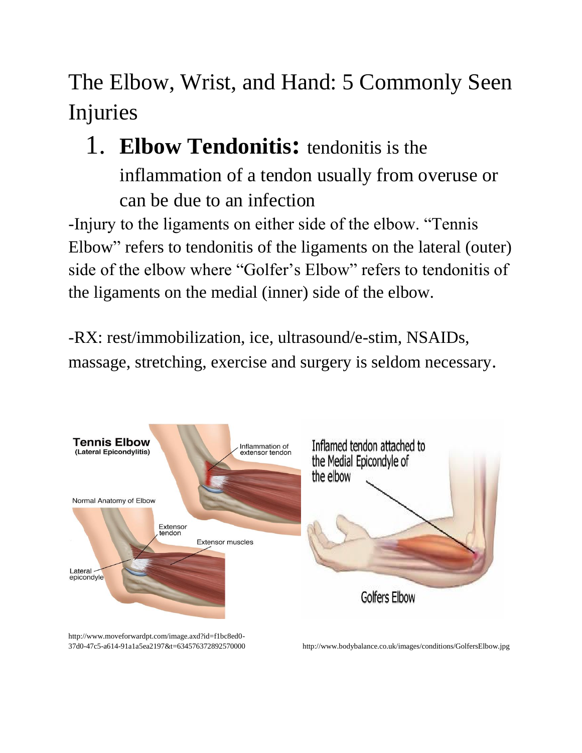The Elbow, Wrist, and Hand: 5 Commonly Seen Injuries

## 1. **Elbow Tendonitis:** tendonitis is the

inflammation of a tendon usually from overuse or can be due to an infection

-Injury to the ligaments on either side of the elbow. "Tennis Elbow" refers to tendonitis of the ligaments on the lateral (outer) side of the elbow where "Golfer's Elbow" refers to tendonitis of the ligaments on the medial (inner) side of the elbow.

-RX: rest/immobilization, ice, ultrasound/e-stim, NSAIDs, massage, stretching, exercise and surgery is seldom necessary.



http://www.moveforwardpt.com/image.axd?id=f1bc8ed0-

37d0-47c5-a614-91a1a5ea2197&t=634576372892570000 http://www.bodybalance.co.uk/images/conditions/GolfersElbow.jpg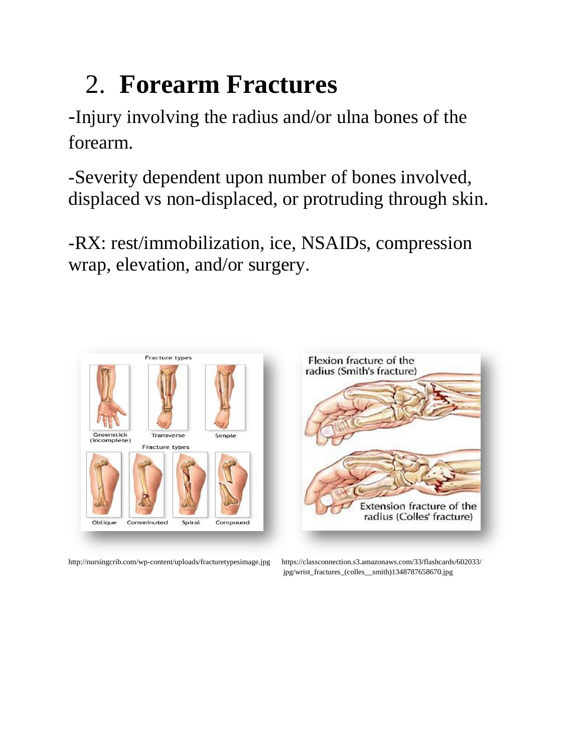## 2. **Forearm Fractures**

-Injury involving the radius and/or ulna bones of the forearm.

-Severity dependent upon number of bones involved, displaced vs non-displaced, or protruding through skin.

-RX: rest/immobilization, ice, NSAIDs, compression wrap, elevation, and/or surgery.







jpg/wrist\_fractures\_(colles\_\_smith)1348787658670.jpg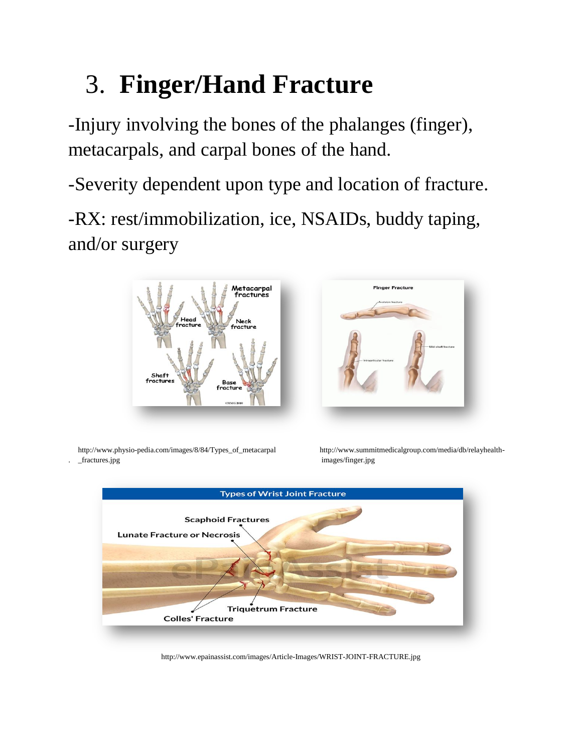## 3. **Finger/Hand Fracture**

-Injury involving the bones of the phalanges (finger), metacarpals, and carpal bones of the hand.

-Severity dependent upon type and location of fracture.

-RX: rest/immobilization, ice, NSAIDs, buddy taping, and/or surgery





 http://www.physio-pedia.com/images/8/84/Types\_of\_metacarpal http://www.summitmedicalgroup.com/media/db/relayhealth- . \_fractures.jpg images/finger.jpg



http://www.epainassist.com/images/Article-Images/WRIST-JOINT-FRACTURE.jpg